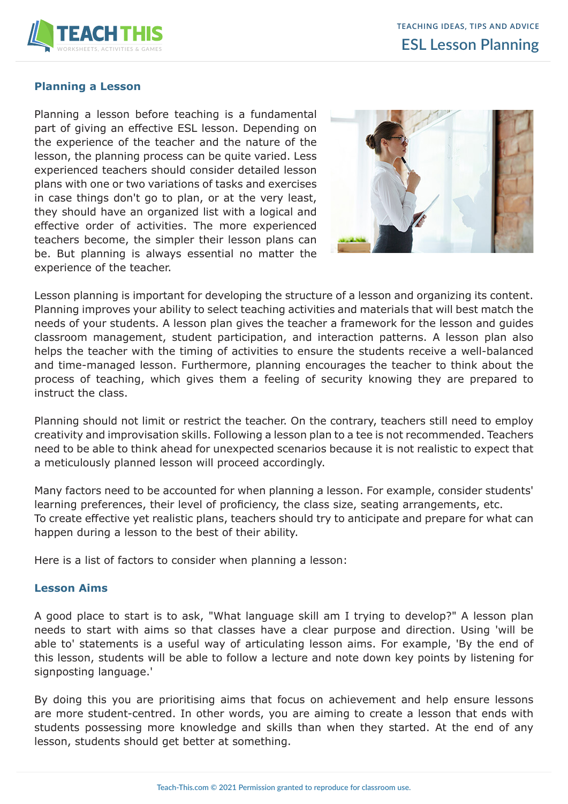

### **Planning a Lesson**

Planning a lesson before teaching is a fundamental part of giving an effective ESL lesson. Depending on the experience of the teacher and the nature of the lesson, the planning process can be quite varied. Less experienced teachers should consider detailed lesson plans with one or two variations of tasks and exercises in case things don't go to plan, or at the very least, they should have an organized list with a logical and effective order of activities. The more experienced teachers become, the simpler their lesson plans can be. But planning is always essential no matter the experience of the teacher.



Lesson planning is important for developing the structure of a lesson and organizing its content. Planning improves your ability to select teaching activities and materials that will best match the needs of your students. A lesson plan gives the teacher a framework for the lesson and guides classroom management, student participation, and interaction patterns. A lesson plan also helps the teacher with the timing of activities to ensure the students receive a well-balanced and time-managed lesson. Furthermore, planning encourages the teacher to think about the process of teaching, which gives them a feeling of security knowing they are prepared to instruct the class.

Planning should not limit or restrict the teacher. On the contrary, teachers still need to employ creativity and improvisation skills. Following a lesson plan to a tee is not recommended. Teachers need to be able to think ahead for unexpected scenarios because it is not realistic to expect that a meticulously planned lesson will proceed accordingly.

Many factors need to be accounted for when planning a lesson. For example, consider students' learning preferences, their level of proficiency, the class size, seating arrangements, etc. To create effective yet realistic plans, teachers should try to anticipate and prepare for what can happen during a lesson to the best of their ability.

Here is a list of factors to consider when planning a lesson:

#### **Lesson Aims**

A good place to start is to ask, "What language skill am I trying to develop?" A lesson plan needs to start with aims so that classes have a clear purpose and direction. Using 'will be able to' statements is a useful way of articulating lesson aims. For example, 'By the end of this lesson, students will be able to follow a lecture and note down key points by listening for signposting language.'

By doing this you are prioritising aims that focus on achievement and help ensure lessons are more student-centred. In other words, you are aiming to create a lesson that ends with students possessing more knowledge and skills than when they started. At the end of any lesson, students should get better at something.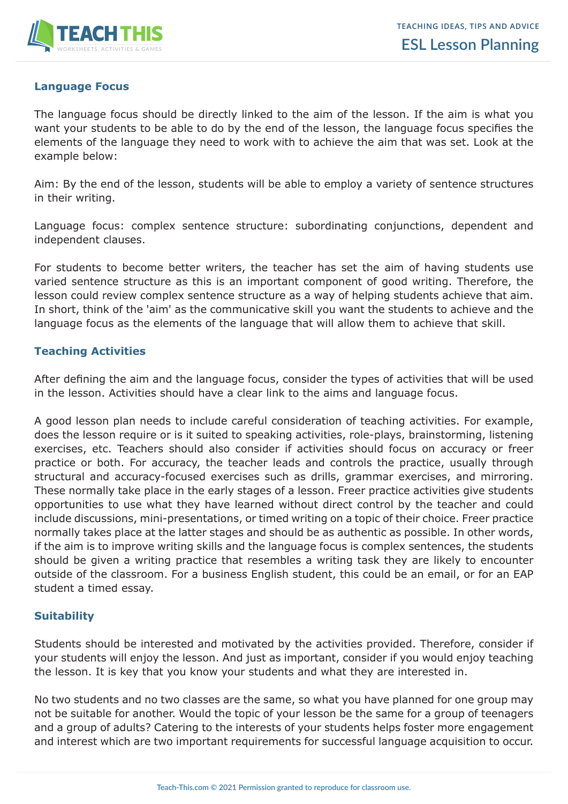

# **Language Focus**

The language focus should be directly linked to the aim of the lesson. If the aim is what you want your students to be able to do by the end of the lesson, the language focus specifies the elements of the language they need to work with to achieve the aim that was set. Look at the example below:

Aim: By the end of the lesson, students will be able to employ a variety of sentence structures in their writing.

Language focus: complex sentence structure: subordinating conjunctions, dependent and independent clauses.

For students to become better writers, the teacher has set the aim of having students use varied sentence structure as this is an important component of good writing. Therefore, the lesson could review complex sentence structure as a way of helping students achieve that aim. In short, think of the 'aim' as the communicative skill you want the students to achieve and the language focus as the elements of the language that will allow them to achieve that skill.

## **Teaching Activities**

After defining the aim and the language focus, consider the types of activities that will be used in the lesson. Activities should have a clear link to the aims and language focus.

A good lesson plan needs to include careful consideration of teaching activities. For example, does the lesson require or is it suited to speaking activities, role-plays, brainstorming, listening exercises, etc. Teachers should also consider if activities should focus on accuracy or freer practice or both. For accuracy, the teacher leads and controls the practice, usually through structural and accuracy-focused exercises such as drills, grammar exercises, and mirroring. These normally take place in the early stages of a lesson. Freer practice activities give students opportunities to use what they have learned without direct control by the teacher and could include discussions, mini-presentations, or timed writing on a topic of their choice. Freer practice normally takes place at the latter stages and should be as authentic as possible. In other words, if the aim is to improve writing skills and the language focus is complex sentences, the students should be given a writing practice that resembles a writing task they are likely to encounter outside of the classroom. For a business English student, this could be an email, or for an EAP student a timed essay.

## **Suitability**

Students should be interested and motivated by the activities provided. Therefore, consider if your students will enjoy the lesson. And just as important, consider if you would enjoy teaching the lesson. It is key that you know your students and what they are interested in.

No two students and no two classes are the same, so what you have planned for one group may not be suitable for another. Would the topic of your lesson be the same for a group of teenagers and a group of adults? Catering to the interests of your students helps foster more engagement and interest which are two important requirements for successful language acquisition to occur.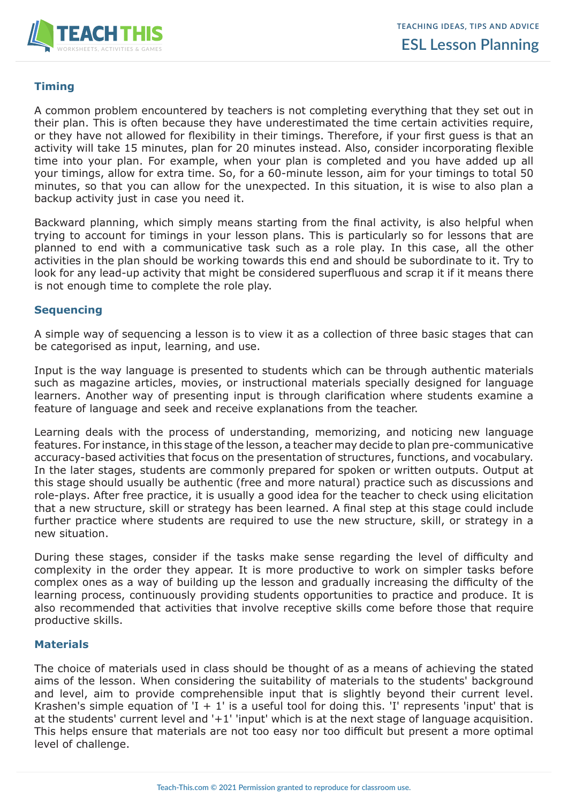

## **Timing**

A common problem encountered by teachers is not completing everything that they set out in their plan. This is often because they have underestimated the time certain activities require, or they have not allowed for flexibility in their timings. Therefore, if your first guess is that an activity will take 15 minutes, plan for 20 minutes instead. Also, consider incorporating flexible time into your plan. For example, when your plan is completed and you have added up all your timings, allow for extra time. So, for a 60-minute lesson, aim for your timings to total 50 minutes, so that you can allow for the unexpected. In this situation, it is wise to also plan a backup activity just in case you need it.

Backward planning, which simply means starting from the final activity, is also helpful when trying to account for timings in your lesson plans. This is particularly so for lessons that are planned to end with a communicative task such as a role play. In this case, all the other activities in the plan should be working towards this end and should be subordinate to it. Try to look for any lead-up activity that might be considered superfluous and scrap it if it means there is not enough time to complete the role play.

### **Sequencing**

A simple way of sequencing a lesson is to view it as a collection of three basic stages that can be categorised as input, learning, and use.

Input is the way language is presented to students which can be through authentic materials such as magazine articles, movies, or instructional materials specially designed for language learners. Another way of presenting input is through clarification where students examine a feature of language and seek and receive explanations from the teacher.

Learning deals with the process of understanding, memorizing, and noticing new language features. For instance, in this stage of the lesson, a teacher may decide to plan pre-communicative accuracy-based activities that focus on the presentation of structures, functions, and vocabulary. In the later stages, students are commonly prepared for spoken or written outputs. Output at this stage should usually be authentic (free and more natural) practice such as discussions and role-plays. After free practice, it is usually a good idea for the teacher to check using elicitation that a new structure, skill or strategy has been learned. A final step at this stage could include further practice where students are required to use the new structure, skill, or strategy in a new situation.

During these stages, consider if the tasks make sense regarding the level of difficulty and complexity in the order they appear. It is more productive to work on simpler tasks before complex ones as a way of building up the lesson and gradually increasing the difficulty of the learning process, continuously providing students opportunities to practice and produce. It is also recommended that activities that involve receptive skills come before those that require productive skills.

#### **Materials**

The choice of materials used in class should be thought of as a means of achieving the stated aims of the lesson. When considering the suitability of materials to the students' background and level, aim to provide comprehensible input that is slightly beyond their current level. Krashen's simple equation of  $I + 1$  is a useful tool for doing this. I represents 'input' that is at the students' current level and '+1' 'input' which is at the next stage of language acquisition. This helps ensure that materials are not too easy nor too difficult but present a more optimal level of challenge.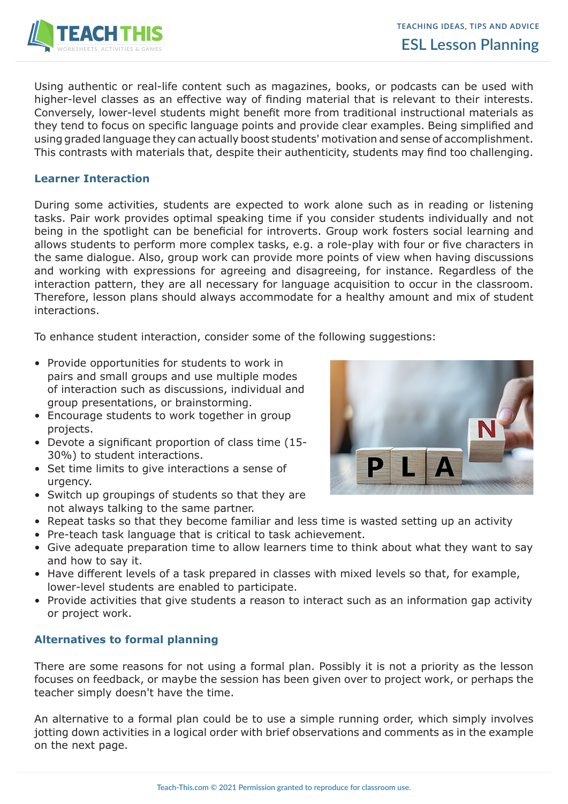

Using authentic or real-life content such as magazines, books, or podcasts can be used with higher-level classes as an effective way of finding material that is relevant to their interests. Conversely, lower-level students might benefit more from traditional instructional materials as they tend to focus on specific language points and provide clear examples. Being simplified and using graded language they can actually boost students' motivation and sense of accomplishment. This contrasts with materials that, despite their authenticity, students may find too challenging.

### **Learner Interaction**

During some activities, students are expected to work alone such as in reading or listening tasks. Pair work provides optimal speaking time if you consider students individually and not being in the spotlight can be beneficial for introverts. Group work fosters social learning and allows students to perform more complex tasks, e.g. a role-play with four or five characters in the same dialogue. Also, group work can provide more points of view when having discussions and working with expressions for agreeing and disagreeing, for instance. Regardless of the interaction pattern, they are all necessary for language acquisition to occur in the classroom. Therefore, lesson plans should always accommodate for a healthy amount and mix of student interactions.

To enhance student interaction, consider some of the following suggestions:

- Provide opportunities for students to work in pairs and small groups and use multiple modes of interaction such as discussions, individual and group presentations, or brainstorming.
- Encourage students to work together in group projects.
- Devote a significant proportion of class time (15- 30%) to student interactions.
- Set time limits to give interactions a sense of urgency.
- Switch up groupings of students so that they are not always talking to the same partner.
- Repeat tasks so that they become familiar and less time is wasted setting up an activity
- Pre-teach task language that is critical to task achievement.
- Give adequate preparation time to allow learners time to think about what they want to say and how to say it.
- Have different levels of a task prepared in classes with mixed levels so that, for example, lower-level students are enabled to participate.
- Provide activities that give students a reason to interact such as an information gap activity or project work.

## **Alternatives to formal planning**

There are some reasons for not using a formal plan. Possibly it is not a priority as the lesson focuses on feedback, or maybe the session has been given over to project work, or perhaps the teacher simply doesn't have the time.

An alternative to a formal plan could be to use a simple running order, which simply involves jotting down activities in a logical order with brief observations and comments as in the example on the next page.